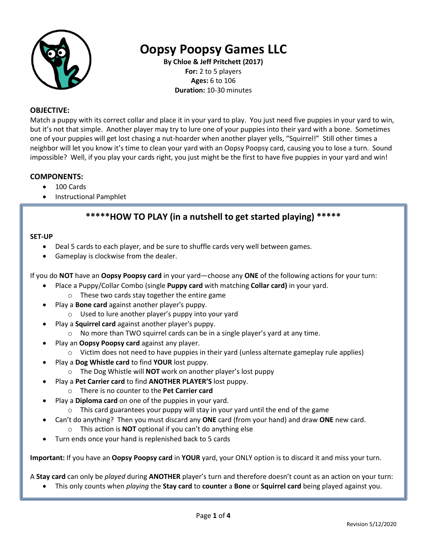

# **Oopsy Poopsy Games LLC**

**By Chloe & Jeff Pritchett (2017) For:** 2 to 5 players **Ages:** 6 to 106 **Duration:** 10-30 minutes

#### **OBJECTIVE:**

Match a puppy with its correct collar and place it in your yard to play. You just need five puppies in your yard to win, but it's not that simple. Another player may try to lure one of your puppies into their yard with a bone. Sometimes one of your puppies will get lost chasing a nut-hoarder when another player yells, "Squirrel!" Still other times a neighbor will let you know it's time to clean your yard with an Oopsy Poopsy card, causing you to lose a turn. Sound impossible? Well, if you play your cards right, you just might be the first to have five puppies in your yard and win!

#### **COMPONENTS:**

- 100 Cards
- Instructional Pamphlet

## **\*\*\*\*\*HOW TO PLAY (in a nutshell to get started playing) \*\*\*\*\***

#### **SET-UP**

- Deal 5 cards to each player, and be sure to shuffle cards very well between games.
- Gameplay is clockwise from the dealer.

If you do **NOT** have an **Oopsy Poopsy card** in your yard—choose any **ONE** of the following actions for your turn:

- Place a Puppy/Collar Combo (single **Puppy card** with matching **Collar card)** in your yard.
	- o These two cards stay together the entire game
- Play a **Bone card** against another player's puppy.
	- o Used to lure another player's puppy into your yard
- Play a **Squirrel card** against another player's puppy.
	- o No more than TWO squirrel cards can be in a single player's yard at any time.
- Play an **Oopsy Poopsy card** against any player.
	- o Victim does not need to have puppies in their yard (unless alternate gameplay rule applies)
- Play a **Dog Whistle card** to find **YOUR** lost puppy.
	- o The Dog Whistle will **NOT** work on another player's lost puppy
- Play a **Pet Carrier card** to find **ANOTHER PLAYER'S** lost puppy.
	- o There is no counter to the **Pet Carrier card**
	- Play a **Diploma card** on one of the puppies in your yard.
		- o This card guarantees your puppy will stay in your yard until the end of the game
- Can't do anything? Then you must discard any **ONE** card (from your hand) and draw **ONE** new card.
	- o This action is **NOT** optional if you can't do anything else
- Turn ends once your hand is replenished back to 5 cards

**Important:** If you have an **Oopsy Poopsy card** in **YOUR** yard, your ONLY option is to discard it and miss your turn.

A **Stay card** can only be *played* during **ANOTHER** player's turn and therefore doesn't count as an action on your turn:

• This only counts when *playing* the **Stay card** to **counter** a **Bone** or **Squirrel card** being played against you.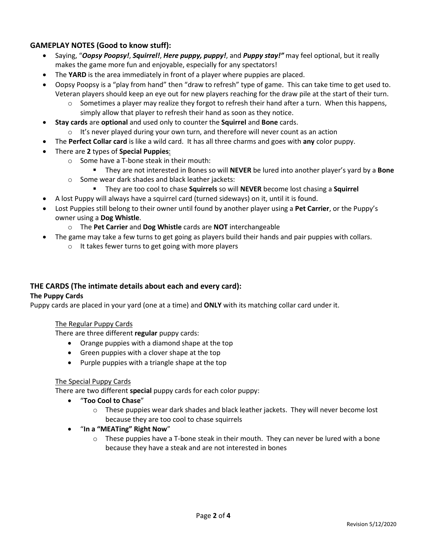### **GAMEPLAY NOTES (Good to know stuff):**

- Saying, "*Oopsy Poopsy!*, *Squirrel!*, *Here puppy, puppy!*, and *Puppy stay!"* may feel optional, but it really makes the game more fun and enjoyable, especially for any spectators!
- The **YARD** is the area immediately in front of a player where puppies are placed.
- Oopsy Poopsy is a "play from hand" then "draw to refresh" type of game. This can take time to get used to. Veteran players should keep an eye out for new players reaching for the draw pile at the start of their turn.
	- $\circ$  Sometimes a player may realize they forgot to refresh their hand after a turn. When this happens, simply allow that player to refresh their hand as soon as they notice.
- **Stay cards** are **optional** and used only to counter the **Squirrel** and **Bone** cards.
	- $\circ$  It's never played during your own turn, and therefore will never count as an action
- The **Perfect Collar card** is like a wild card. It has all three charms and goes with **any** color puppy.
- There are **2** types of **Special Puppies**:
	- o Some have a T-bone steak in their mouth:
		- They are not interested in Bones so will **NEVER** be lured into another player's yard by a **Bone**
	- o Some wear dark shades and black leather jackets:
		- They are too cool to chase **Squirrels** so will **NEVER** become lost chasing a **Squirrel**
- A lost Puppy will always have a squirrel card (turned sideways) on it, until it is found.
- Lost Puppies still belong to their owner until found by another player using a **Pet Carrier**, or the Puppy's owner using a **Dog Whistle**.
	- o The **Pet Carrier** and **Dog Whistle** cards are **NOT** interchangeable
- The game may take a few turns to get going as players build their hands and pair puppies with collars.
	- o It takes fewer turns to get going with more players

#### **THE CARDS (The intimate details about each and every card):**

#### **The Puppy Cards**

Puppy cards are placed in your yard (one at a time) and **ONLY** with its matching collar card under it.

#### The Regular Puppy Cards

There are three different **regular** puppy cards:

- Orange puppies with a diamond shape at the top
- Green puppies with a clover shape at the top
- Purple puppies with a triangle shape at the top

#### The Special Puppy Cards

There are two different **special** puppy cards for each color puppy:

- "**Too Cool to Chase**"
	- o These puppies wear dark shades and black leather jackets. They will never become lost because they are too cool to chase squirrels
- "**In a "MEATing" Right Now**"
	- $\circ$  These puppies have a T-bone steak in their mouth. They can never be lured with a bone because they have a steak and are not interested in bones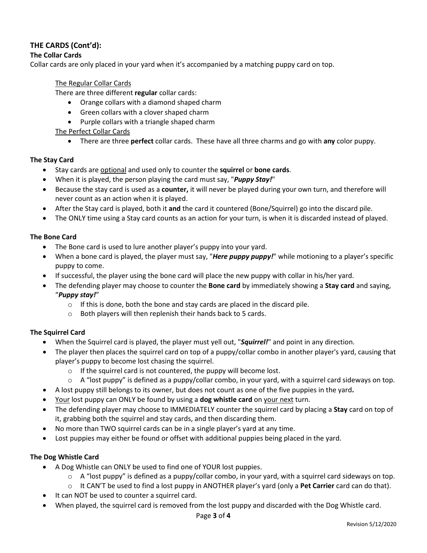## **THE CARDS (Cont'd):**

## **The Collar Cards**

Collar cards are only placed in your yard when it's accompanied by a matching puppy card on top.

#### The Regular Collar Cards

There are three different **regular** collar cards:

- Orange collars with a diamond shaped charm
- Green collars with a clover shaped charm
- Purple collars with a triangle shaped charm

#### The Perfect Collar Cards

• There are three **perfect** collar cards. These have all three charms and go with **any** color puppy.

#### **The Stay Card**

- Stay cards are optional and used only to counter the **squirrel** or **bone cards**.
- When it is played, the person playing the card must say, "*Puppy Stay!*"
- Because the stay card is used as a **counter,** it will never be played during your own turn, and therefore will never count as an action when it is played.
- After the Stay card is played, both it **and** the card it countered (Bone/Squirrel) go into the discard pile.
- The ONLY time using a Stay card counts as an action for your turn, is when it is discarded instead of played.

#### **The Bone Card**

- The Bone card is used to lure another player's puppy into your yard.
- When a bone card is played, the player must say, "*Here puppy puppy!*" while motioning to a player's specific puppy to come.
- If successful, the player using the bone card will place the new puppy with collar in his/her yard.
- The defending player may choose to counter the **Bone card** by immediately showing a **Stay card** and saying, "*Puppy stay!*"
	- o If this is done, both the bone and stay cards are placed in the discard pile.
	- o Both players will then replenish their hands back to 5 cards.

#### **The Squirrel Card**

- When the Squirrel card is played, the player must yell out, "*Squirrel!*" and point in any direction.
- The player then places the squirrel card on top of a puppy/collar combo in another player's yard, causing that player's puppy to become lost chasing the squirrel.
	- o If the squirrel card is not countered, the puppy will become lost.
	- $\circ$  A "lost puppy" is defined as a puppy/collar combo, in your yard, with a squirrel card sideways on top.
- A lost puppy still belongs to its owner, but does not count as one of the five puppies in the yard**.**
- Your lost puppy can ONLY be found by using a **dog whistle card** on your next turn.
- The defending player may choose to IMMEDIATELY counter the squirrel card by placing a **Stay** card on top of it, grabbing both the squirrel and stay cards, and then discarding them.
- No more than TWO squirrel cards can be in a single player's yard at any time.
- Lost puppies may either be found or offset with additional puppies being placed in the yard.

#### **The Dog Whistle Card**

- A Dog Whistle can ONLY be used to find one of YOUR lost puppies.
	- $\circ$  A "lost puppy" is defined as a puppy/collar combo, in your yard, with a squirrel card sideways on top.
	- o It CAN'T be used to find a lost puppy in ANOTHER player's yard (only a **Pet Carrier** card can do that).
- It can NOT be used to counter a squirrel card.
- When played, the squirrel card is removed from the lost puppy and discarded with the Dog Whistle card.